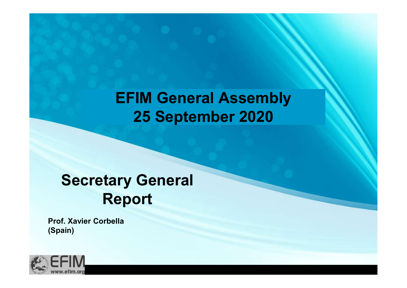## EFIM General Assembly<br>25 September 2020<br>Secretary General<br>Report EFIM General Assembly 25 September 2020

## Report

Prof. Xavier Corbella (Spain)

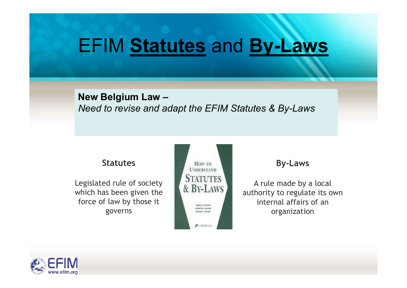## EFIM Statutes and By-Laws

#### New Belgium Law – Need to revise and adapt the EFIM Statutes & By-Laws

Legislated rule of society<br>which has been given the  $\alpha$  BY-LAWS which has been given the force of law by those it governs



#### By-Laws

A rule made by a local authority to regulate its own internal affairs of an organization

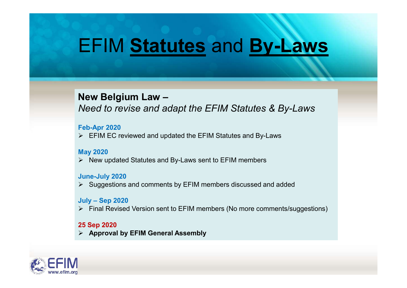## EFIM Statutes and By-Laws

### New Belgium Law –

Need to revise and adapt the EFIM Statutes & By-Laws New Belgium Law –<br>
Need to revise and adapt the EFIM Statute<br>
Feb-Apr 2020<br>
> EFIM EC reviewed and updated the EFIM Statutes and B<br>
May 2020<br>
> New updated Statutes and By-Laws sent to EFIM memb<br>
June-July 2020<br>
> Suggest

#### Feb-Apr 2020

 $\triangleright$  EFIM EC reviewed and updated the EFIM Statutes and By-Laws

#### May 2020

 $\triangleright$  New updated Statutes and By-Laws sent to EFIM members

#### June-July 2020

 $\triangleright$  Suggestions and comments by EFIM members discussed and added

 $\triangleright$  Final Revised Version sent to EFIM members (No more comments/suggestions)

#### 25 Sep 2020

 $\triangleright$  Approval by EFIM General Assembly

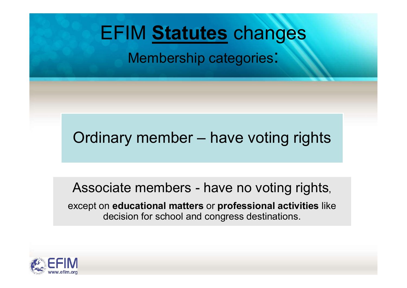## EFIM Statutes changes

Membership categories:

EFIM **Statutes** changes<br>
Membership categories:<br>
Ordinary member – have voting rights

Ordinary member — have voting rights<br>Associate members - have no voting rights,<br>xcept on educational matters or professional activities like<br>decision for school and congress destinations. except on educational matters or professional activities like decision for school and congress destinations.

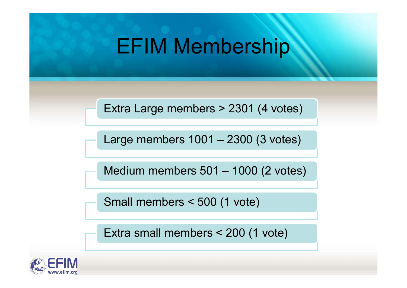# EFIM Membership EFIM Membership<br>Extra Large members > 2301 (4 votes)<br>Large members 1001 – 2300 (3 votes)<br>Medium members 501 – 1000 (2 votes)

Extra Large members > 2301 (4 votes)

Extra Large members > 2301 (4 votes)<br>Large members 1001 – 2300 (3 votes)<br>Medium members 501 – 1000 (2 votes)<br>Small members < 500 (1 vote)

Small members < 500 (1 vote)

Extra small members < 200 (1 vote)

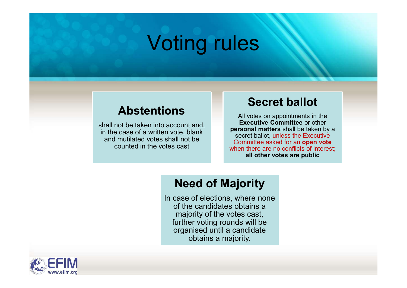## Voting rules

### Abstentions

shall not be taken into account and, in the case of a written vote, blank and mutilated votes shall not be counted in the votes cast

## Secret ballot

All votes on appointments in the Executive Committee or other personal matters shall be taken by a secret ballot, unless the Executive Committee asked for an open vote when there are no conflicts of interest: all other votes are public

## Need of Majority

In case of elections, where none of the candidates obtains a majority of the votes cast, further voting rounds will be organised until a candidate obtains a majority.

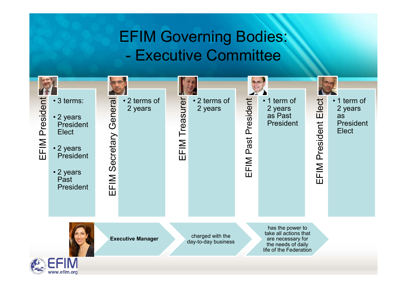## EFIM Governing Bodies:

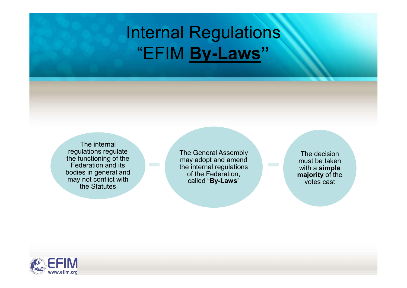## Internal Regulations "EFIM By-Laws"

The internal regulations regulate the functioning of the<br>Eederation and its Federation and its bodies in general and may not conflict with the Statutes

The General Assembly may adopt and amend the internal regulations of the Federation, e General Assembly<br>
ay adopt and amend<br>
e internal regulations<br>
of the Federation,<br>
called "**By-Laws**"<br>
called "**By-Laws**"<br>
and the votes cast

must be taken with a simple majority of the votes cast

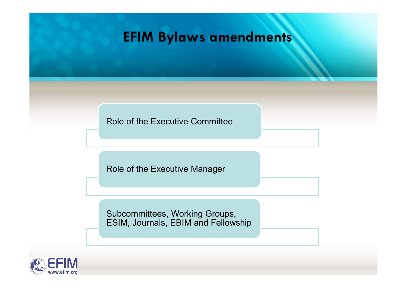## EFIM Bylaws amendments

Role of the Executive Committee

Role of the Executive Manager

Subcommittees, Working Groups, ESIM, Journals, EBIM and Fellowship

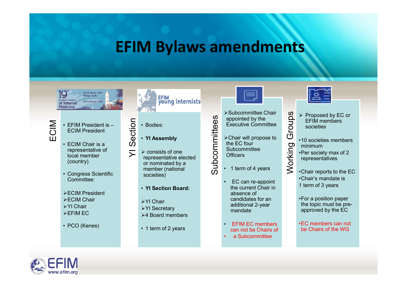# EFIM Bylaws amendments EFIM Bylaws and<br>  $\frac{19}{\frac{67 \text{ lnteenal}}{\text{Method of}}}\n\begin{bmatrix}\n\frac{1}{36} & \frac{1}{36} & \frac{1}{36} \\
\frac{1}{36} & \frac{1}{36} & \frac{1}{36} \\
\frac{1}{36} & \frac{1}{36} & \frac{1}{36} \\
\frac{1}{36} & \frac{1}{36} & \frac{1}{36} \\
\frac{1}{36} & \frac{1}{36} & \frac{1}{36} \\
\frac{1}{36} & \frac{1}{36} & \frac{1}{36} \\
\frac{1}{36$ • PCO (Kenes)<br>• PCO (Kenes)<br>• PCO (Kenes)<br>• PCO (Kenes)<br>• PCO (Kenes)<br>• PCO (Kenes)<br>• PCO (Kenes)<br>• YI Assembly<br>• CCIM Chair is a consensation education<br>• CCIM Chair and the contract of the contract of the contract of t



EFIM President is –<br>
ECIM President<br>
ECIM Chair is a<br>
CO

- representative of  $\overline{\phantom{a}}$   $\overline{\phantom{a}}$ local member (country)
- Committee:
- **≻ECIM President**
- **≻ECIM Chair**
- **≻YI Chair**
- 
- 



- 
- 
- **EFIM Bylaws and<br>
Solutions of the CHA CHANGE CONSUMING A CHANGE OF A SURPRESIDENT CONSUMING A CHANGE OF A SURPRESIDENT CONSUMING A CONSUMING A CONSUMING A CONSUMING A CONSUMING A CONSUMING A CONSUMING A CONSUMING A CONSU** A FIIVI DYIQIVIS CII<br>
FEM President<br>
Internal<br>
Internal<br>
Internal<br>
Internal<br>
Internal<br>
Internal<br>
Internal<br>
Internal<br>
Coldidine<br>
ECIM President<br>
Congress Scientific<br>
Congress Scientific<br>
Congress Scientific<br>
→ ECIM Presi • Bodies:<br>
• YI Assembly<br>
• YI Assembly<br>
≻ consists of one<br>
representative elected<br>
or nominated by a<br>
member (national representative elected or nominated by a<br>member (national  $\overline{2}$  + 1 term of 4 years member (national societies)
	- YI Section Board:
	- **≻YI Chair**
- EFIM EC
<br>
>4 Board members
>4 Board = 2 ABOARD = 2 ABOARD = 2 ABOARD = 2 ABOARD = 2 ABOARD = 2 ABOARD = 2 ABOARD = 2 ABOARD = 2 ABOARD = 2 ABOARD = 2 ABOARD = 2 ABOARD = 2 ABOARD = 2 ABOARD = 2 ABOARD = 2 ABOARD = 2 ABOARD
	-



>Subcommittee Chair<br>appointed by the<br>EFIM members<br>Subcommittee<br>Subcommittee<br>Subcommittee<br>Subcommittee<br>Subcommittee<br>Subcommittee<br>Subcommittee<br>Subcommittee<br>3<br>10<br>Subcommittee<br>3<br>10<br>Subcommittee<br>3<br>10<br>Subcommittee<br>3<br>10<br>Subcommit appointed by the Executive Committee

- Chair will propose to the EC four<br>Subcommittee<br>Officers<br>1 term of 4 years **Subcommittee Officers CONTROVIDED SET AND PROPER CONTROLLER CONTROLLER SUGARITY CONTROLLER CONTROLLER SUGARIZED CONTROLLER SUGARIZED CONTROLLER SUGARIZED CONTROLLER SUGARIZED CONTROLLER SUGARIZED CONTROLLER SUGARIZED CONTROLLER SUGARIZED CONTR**
- 
- >YI Secretary additional property • 1 Assembly<br>
• Bodies:<br>
• 1 Assembly<br>
• Nextrities Chair will propose to<br>
• 1 Assembly<br>
• Chair will propose to<br>
• Chair will propose to<br>
• Figure 2 + Chair will propose to<br>
• The EC four<br>
• The EC four<br>
• Subcommittee ► EC can re-appoint<br>
absolution of the Chair<br>
accounting the Chair<br>
accounting of the Counting of the Counting of the Counting Section<br>
Section of A years<br>
FO contribution of A years<br>
FC can re-appoint<br>
EC can re-appoi the current Chair in absence of candidates for an additional 2-year • Subcommittee Chair<br>
• Subcommittee Chair<br>
appointed by the Court EFIM members<br>
• Chair will propose to<br>
• Chair will propose to<br>
• Court is coldiers<br>
• Subcommittee<br>
• Court is coldiers<br>
• Chair reports to the EC<br>
• E
	- EFIM EC members can not be Chairs of
	-



- EFIM members societies
- •10 societies members minimum
- •Per society max of 2 representatives
- •Chair reports to the EC •Chair's mandate is
- 1 term of 3 years
- mandate **approved by the EC** •For a position paper the topic must be pre-
	- •EC members can not be Chairs of the WG

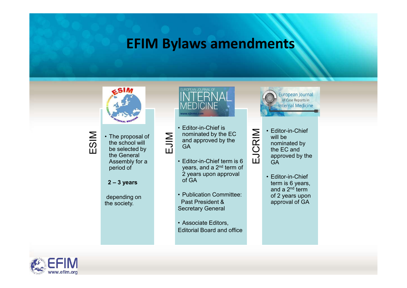## EFIM Bylaws amendments



The proposal of<br>the school will<br>be selected by  $\sum_{\text{GA}}$ be selected by the General<br>Assembly for a **Chicagon Chef** term is 6 Assembly for a period of • The proposal of<br>
the school will<br>
be selected by<br>
the General<br>
Assembly for a<br>
period of<br>
2 – 3 years<br>
depending on<br>
the society.<br>
<br>
Publication Committee:<br>
Past President &<br>
Past President &<br>
Past President &<br>
Past Pre



and approved by the

- years, and a 2<sup>nd</sup> term of 2 years upon approval <br>of GA **EXECUTE ANTIFITM AND SECURE AND CONSUMED A SECURE AND SECURE AND SECURE AND SECURE AND SECURE AND SECURE AND SECURE AND SECURE AND SECURE AND SECURE AND SECURE THE SUBSTRAINED ON SECURE A SECURE AND SECURE A SECURE AND S**
- depending on **Calcular Publication Committee:**<br>The society. The society. Past President & Secretary General
	-



- Editor-in-Chief<br>
nominated by the EC<br>
GA<br>
Editor-in-Chief<br>
GA<br>
Editor-in-Chief<br>
the EC and<br>
Editor-in-Chief<br>
term is 6  $\overline{O}$  the EC and will be nominated by approved by the **GA GA GA**
- of GA **term is 6 years,** and a  $2<sup>nd</sup>$  term of 2 years upon approval of GA